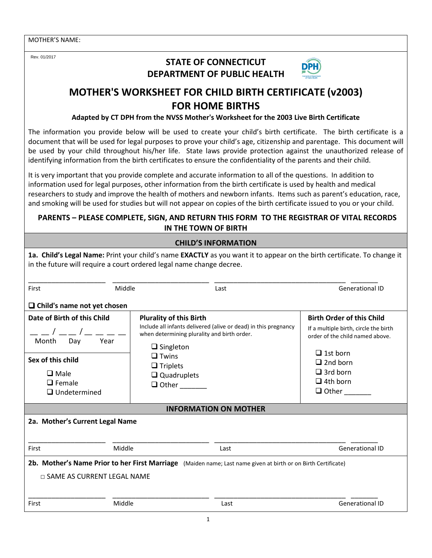Rev. 01/2017

## **STATE OF CONNECTICUT DEPARTMENT OF PUBLIC HEALTH**



# **MOTHER'S WORKSHEET FOR CHILD BIRTH CERTIFICATE (v2003) FOR HOME BIRTHS**

**Adapted by CT DPH from the NVSS Mother's Worksheet for the 2003 Live Birth Certificate**

The information you provide below will be used to create your child's birth certificate. The birth certificate is a document that will be used for legal purposes to prove your child's age, citizenship and parentage. This document will be used by your child throughout his/her life. State laws provide protection against the unauthorized release of identifying information from the birth certificates to ensure the confidentiality of the parents and their child.

It is very important that you provide complete and accurate information to all of the questions. In addition to information used for legal purposes, other information from the birth certificate is used by health and medical researchers to study and improve the health of mothers and newborn infants. Items such as parent's education, race, and smoking will be used for studies but will not appear on copies of the birth certificate issued to you or your child.

### **PARENTS – PLEASE COMPLETE, SIGN, AND RETURN THIS FORM TO THE REGISTRAR OF VITAL RECORDS IN THE TOWN OF BIRTH**

| <b>CHILD'S INFORMATION</b>                                                                                                                    |                                                                                                                                                                                                                                               |      |                                                                                                                                                                                                          |  |
|-----------------------------------------------------------------------------------------------------------------------------------------------|-----------------------------------------------------------------------------------------------------------------------------------------------------------------------------------------------------------------------------------------------|------|----------------------------------------------------------------------------------------------------------------------------------------------------------------------------------------------------------|--|
| in the future will require a court ordered legal name change decree.                                                                          |                                                                                                                                                                                                                                               |      | 1a. Child's Legal Name: Print your child's name EXACTLY as you want it to appear on the birth certificate. To change it                                                                                  |  |
| First                                                                                                                                         | Middle                                                                                                                                                                                                                                        | Last | <b>Generational ID</b>                                                                                                                                                                                   |  |
| $\Box$ Child's name not yet chosen                                                                                                            |                                                                                                                                                                                                                                               |      |                                                                                                                                                                                                          |  |
| Date of Birth of this Child<br>Month<br>Day<br>Year<br>Sex of this child<br>$\square$ Male<br>$\Box$ Female<br>$\Box$ Undetermined            | <b>Plurality of this Birth</b><br>Include all infants delivered (alive or dead) in this pregnancy<br>when determining plurality and birth order.<br>$\Box$ Singleton<br>$\Box$ Twins<br>$\Box$ Triplets<br>$\Box$ Quadruplets<br>$\Box$ Other |      | <b>Birth Order of this Child</b><br>If a multiple birth, circle the birth<br>order of the child named above.<br>$\Box$ 1st born<br>$\Box$ 2nd born<br>$\Box$ 3rd born<br>$\Box$ 4th born<br>$\Box$ Other |  |
| <b>INFORMATION ON MOTHER</b>                                                                                                                  |                                                                                                                                                                                                                                               |      |                                                                                                                                                                                                          |  |
| 2a. Mother's Current Legal Name                                                                                                               |                                                                                                                                                                                                                                               |      |                                                                                                                                                                                                          |  |
| Middle<br>First                                                                                                                               |                                                                                                                                                                                                                                               | Last | <b>Generational ID</b>                                                                                                                                                                                   |  |
| 2b. Mother's Name Prior to her First Marriage (Maiden name; Last name given at birth or on Birth Certificate)<br>□ SAME AS CURRENT LEGAL NAME |                                                                                                                                                                                                                                               |      |                                                                                                                                                                                                          |  |
| Middle<br>First                                                                                                                               |                                                                                                                                                                                                                                               | Last | <b>Generational ID</b>                                                                                                                                                                                   |  |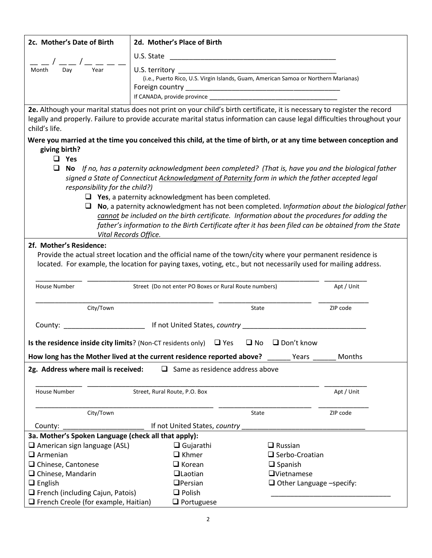| 2c. Mother's Date of Birth                                                                                                                                                                                                                                              | 2d. Mother's Place of Birth                                |                                                                                                                                                                                                            |            |  |
|-------------------------------------------------------------------------------------------------------------------------------------------------------------------------------------------------------------------------------------------------------------------------|------------------------------------------------------------|------------------------------------------------------------------------------------------------------------------------------------------------------------------------------------------------------------|------------|--|
|                                                                                                                                                                                                                                                                         |                                                            |                                                                                                                                                                                                            |            |  |
|                                                                                                                                                                                                                                                                         |                                                            |                                                                                                                                                                                                            |            |  |
| Month<br>Day                                                                                                                                                                                                                                                            | U.S. territory                                             |                                                                                                                                                                                                            |            |  |
|                                                                                                                                                                                                                                                                         |                                                            | (i.e., Puerto Rico, U.S. Virgin Islands, Guam, American Samoa or Northern Marianas)                                                                                                                        |            |  |
|                                                                                                                                                                                                                                                                         | Foreign country _                                          |                                                                                                                                                                                                            |            |  |
|                                                                                                                                                                                                                                                                         |                                                            |                                                                                                                                                                                                            |            |  |
| 2e. Although your marital status does not print on your child's birth certificate, it is necessary to register the record<br>legally and properly. Failure to provide accurate marital status information can cause legal difficulties throughout your<br>child's life. |                                                            |                                                                                                                                                                                                            |            |  |
| Were you married at the time you conceived this child, at the time of birth, or at any time between conception and<br>giving birth?                                                                                                                                     |                                                            |                                                                                                                                                                                                            |            |  |
| Yes<br>ப                                                                                                                                                                                                                                                                |                                                            |                                                                                                                                                                                                            |            |  |
| ⊔                                                                                                                                                                                                                                                                       |                                                            | No If no, has a paternity acknowledgment been completed? (That is, have you and the biological father<br>signed a State of Connecticut Acknowledgment of Paternity form in which the father accepted legal |            |  |
| responsibility for the child?)                                                                                                                                                                                                                                          |                                                            |                                                                                                                                                                                                            |            |  |
|                                                                                                                                                                                                                                                                         | $\Box$ Yes, a paternity acknowledgment has been completed. |                                                                                                                                                                                                            |            |  |
|                                                                                                                                                                                                                                                                         |                                                            | $\Box$ No, a paternity acknowledgment has not been completed. Information about the biological father                                                                                                      |            |  |
|                                                                                                                                                                                                                                                                         |                                                            | cannot be included on the birth certificate. Information about the procedures for adding the                                                                                                               |            |  |
|                                                                                                                                                                                                                                                                         |                                                            | father's information to the Birth Certificate after it has been filed can be obtained from the State                                                                                                       |            |  |
|                                                                                                                                                                                                                                                                         | Vital Records Office.                                      |                                                                                                                                                                                                            |            |  |
| 2f. Mother's Residence:                                                                                                                                                                                                                                                 |                                                            |                                                                                                                                                                                                            |            |  |
|                                                                                                                                                                                                                                                                         |                                                            | Provide the actual street location and the official name of the town/city where your permanent residence is                                                                                                |            |  |
|                                                                                                                                                                                                                                                                         |                                                            | located. For example, the location for paying taxes, voting, etc., but not necessarily used for mailing address.                                                                                           |            |  |
|                                                                                                                                                                                                                                                                         |                                                            |                                                                                                                                                                                                            |            |  |
| House Number                                                                                                                                                                                                                                                            | Street (Do not enter PO Boxes or Rural Route numbers)      |                                                                                                                                                                                                            | Apt / Unit |  |
|                                                                                                                                                                                                                                                                         |                                                            |                                                                                                                                                                                                            |            |  |
| City/Town                                                                                                                                                                                                                                                               |                                                            | State                                                                                                                                                                                                      | ZIP code   |  |
| County:                                                                                                                                                                                                                                                                 |                                                            |                                                                                                                                                                                                            |            |  |
|                                                                                                                                                                                                                                                                         |                                                            |                                                                                                                                                                                                            |            |  |
| Is the residence inside city limits? (Non-CT residents only) $\Box$ Yes                                                                                                                                                                                                 |                                                            | $\Box$ No $\Box$ Don't know                                                                                                                                                                                |            |  |
| How long has the Mother lived at the current residence reported above? _                                                                                                                                                                                                |                                                            | Years                                                                                                                                                                                                      | Months     |  |
|                                                                                                                                                                                                                                                                         |                                                            |                                                                                                                                                                                                            |            |  |
| 2g. Address where mail is received:<br>$\Box$ Same as residence address above                                                                                                                                                                                           |                                                            |                                                                                                                                                                                                            |            |  |
|                                                                                                                                                                                                                                                                         |                                                            |                                                                                                                                                                                                            |            |  |
| <b>House Number</b>                                                                                                                                                                                                                                                     | Street, Rural Route, P.O. Box                              |                                                                                                                                                                                                            | Apt / Unit |  |
|                                                                                                                                                                                                                                                                         |                                                            |                                                                                                                                                                                                            |            |  |
| City/Town                                                                                                                                                                                                                                                               |                                                            | <b>State</b>                                                                                                                                                                                               | ZIP code   |  |
| County: ________________________________ If not United States, country _                                                                                                                                                                                                |                                                            |                                                                                                                                                                                                            |            |  |
| 3a. Mother's Spoken Language (check all that apply):                                                                                                                                                                                                                    |                                                            |                                                                                                                                                                                                            |            |  |
| $\Box$ American sign language (ASL)                                                                                                                                                                                                                                     | $\Box$ Gujarathi                                           | $\Box$ Russian                                                                                                                                                                                             |            |  |
| $\Box$ Armenian                                                                                                                                                                                                                                                         | $\Box$ Khmer                                               | $\Box$ Serbo-Croatian                                                                                                                                                                                      |            |  |
| □ Chinese, Cantonese                                                                                                                                                                                                                                                    | $\Box$ Korean                                              | $\Box$ Spanish                                                                                                                                                                                             |            |  |
| $\Box$ Chinese, Mandarin                                                                                                                                                                                                                                                | <b>QLaotian</b>                                            | $\Box$ Vietnamese                                                                                                                                                                                          |            |  |
| $\Box$ English<br>$\Box$ French (including Cajun, Patois)                                                                                                                                                                                                               | $D$ Persian<br>$\Box$ Polish                               | $\Box$ Other Language -specify:                                                                                                                                                                            |            |  |
| $\Box$ French Creole (for example, Haitian)                                                                                                                                                                                                                             | $\Box$ Portuguese                                          |                                                                                                                                                                                                            |            |  |
|                                                                                                                                                                                                                                                                         |                                                            |                                                                                                                                                                                                            |            |  |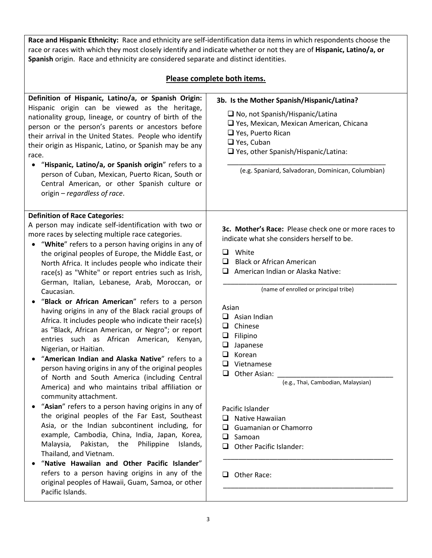**Race and Hispanic Ethnicity:** Race and ethnicity are self-identification data items in which respondents choose the race or races with which they most closely identify and indicate whether or not they are of **Hispanic, Latino/a, or Spanish** origin. Race and ethnicity are considered separate and distinct identities.

#### **Please complete both items.**

| Definition of Hispanic, Latino/a, or Spanish Origin:<br>Hispanic origin can be viewed as the heritage,<br>nationality group, lineage, or country of birth of the<br>person or the person's parents or ancestors before<br>their arrival in the United States. People who identify<br>their origin as Hispanic, Latino, or Spanish may be any<br>race.<br>"Hispanic, Latino/a, or Spanish origin" refers to a<br>person of Cuban, Mexican, Puerto Rican, South or<br>Central American, or other Spanish culture or<br>origin - regardless of race.                                                                                                                                                                                                                                                                                                                                                                                                                                                                                                                                                                                                                                                                                                                                                                                                                                                                                                                                              | 3b. Is the Mother Spanish/Hispanic/Latina?<br>$\Box$ No, not Spanish/Hispanic/Latina<br>□ Yes, Mexican, Mexican American, Chicana<br>$\Box$ Yes, Puerto Rican<br>$\Box$ Yes, Cuban<br>$\Box$ Yes, other Spanish/Hispanic/Latina:<br>(e.g. Spaniard, Salvadoran, Dominican, Columbian)                                                                                                                                                                                                                                                                                |
|------------------------------------------------------------------------------------------------------------------------------------------------------------------------------------------------------------------------------------------------------------------------------------------------------------------------------------------------------------------------------------------------------------------------------------------------------------------------------------------------------------------------------------------------------------------------------------------------------------------------------------------------------------------------------------------------------------------------------------------------------------------------------------------------------------------------------------------------------------------------------------------------------------------------------------------------------------------------------------------------------------------------------------------------------------------------------------------------------------------------------------------------------------------------------------------------------------------------------------------------------------------------------------------------------------------------------------------------------------------------------------------------------------------------------------------------------------------------------------------------|----------------------------------------------------------------------------------------------------------------------------------------------------------------------------------------------------------------------------------------------------------------------------------------------------------------------------------------------------------------------------------------------------------------------------------------------------------------------------------------------------------------------------------------------------------------------|
| <b>Definition of Race Categories:</b><br>A person may indicate self-identification with two or<br>more races by selecting multiple race categories.<br>"White" refers to a person having origins in any of<br>$\bullet$<br>the original peoples of Europe, the Middle East, or<br>North Africa. It includes people who indicate their<br>race(s) as "White" or report entries such as Irish,<br>German, Italian, Lebanese, Arab, Moroccan, or<br>Caucasian.<br>"Black or African American" refers to a person<br>having origins in any of the Black racial groups of<br>Africa. It includes people who indicate their race(s)<br>as "Black, African American, or Negro"; or report<br>entries such as African American,<br>Kenyan,<br>Nigerian, or Haitian.<br>"American Indian and Alaska Native" refers to a<br>$\bullet$<br>person having origins in any of the original peoples<br>of North and South America (including Central<br>America) and who maintains tribal affiliation or<br>community attachment.<br>"Asian" refers to a person having origins in any of<br>the original peoples of the Far East, Southeast<br>Asia, or the Indian subcontinent including, for<br>example, Cambodia, China, India, Japan, Korea,<br>Malaysia,<br>Pakistan, the<br>Philippine<br>Islands,<br>Thailand, and Vietnam.<br>"Native Hawaiian and Other Pacific Islander"<br>refers to a person having origins in any of the<br>original peoples of Hawaii, Guam, Samoa, or other<br>Pacific Islands. | 3c. Mother's Race: Please check one or more races to<br>indicate what she considers herself to be.<br>White<br>ப<br><b>Black or African American</b><br>ப<br>American Indian or Alaska Native:<br>(name of enrolled or principal tribe)<br>Asian<br>o.<br>Asian Indian<br>Chinese<br>ப<br>Filipino<br>❏<br>❏<br>Japanese<br>❏<br>Korean<br>❏<br>Vietnamese<br>Other Asian:<br>⊔<br>(e.g., Thai, Cambodian, Malaysian)<br>Pacific Islander<br>Native Hawaiian<br>⊔<br>Guamanian or Chamorro<br>ப<br>ப<br>Samoan<br><b>Other Pacific Islander:</b><br>ப<br>Other Race: |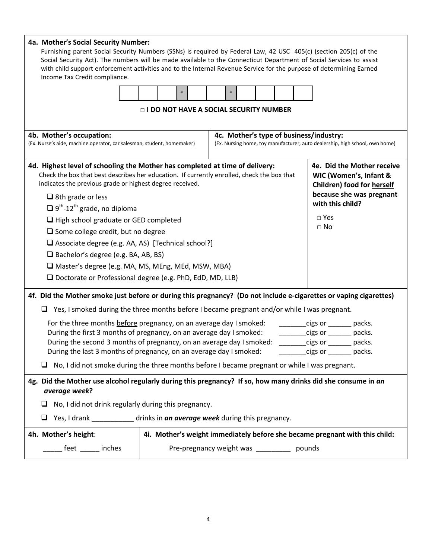| 4a. Mother's Social Security Number:<br>Furnishing parent Social Security Numbers (SSNs) is required by Federal Law, 42 USC 405(c) (section 205(c) of the<br>Social Security Act). The numbers will be made available to the Connecticut Department of Social Services to assist<br>with child support enforcement activities and to the Internal Revenue Service for the purpose of determining Earned<br>Income Tax Credit compliance. |                                          |                                            |                                                                                           |  |                                                                             |
|------------------------------------------------------------------------------------------------------------------------------------------------------------------------------------------------------------------------------------------------------------------------------------------------------------------------------------------------------------------------------------------------------------------------------------------|------------------------------------------|--------------------------------------------|-------------------------------------------------------------------------------------------|--|-----------------------------------------------------------------------------|
|                                                                                                                                                                                                                                                                                                                                                                                                                                          |                                          |                                            |                                                                                           |  |                                                                             |
|                                                                                                                                                                                                                                                                                                                                                                                                                                          | □ I DO NOT HAVE A SOCIAL SECURITY NUMBER |                                            |                                                                                           |  |                                                                             |
| 4b. Mother's occupation:<br>4c. Mother's type of business/industry:<br>(Ex. Nurse's aide, machine operator, car salesman, student, homemaker)<br>(Ex. Nursing home, toy manufacturer, auto dealership, high school, own home)                                                                                                                                                                                                            |                                          |                                            |                                                                                           |  |                                                                             |
| 4d. Highest level of schooling the Mother has completed at time of delivery:<br>Check the box that best describes her education. If currently enrolled, check the box that<br>indicates the previous grade or highest degree received.                                                                                                                                                                                                   |                                          |                                            | 4e. Did the Mother receive<br>WIC (Women's, Infant &<br><b>Children) food for herself</b> |  |                                                                             |
| $\Box$ 8th grade or less                                                                                                                                                                                                                                                                                                                                                                                                                 |                                          |                                            | because she was pregnant<br>with this child?                                              |  |                                                                             |
| $\Box$ 9 <sup>th</sup> -12 <sup>th</sup> grade, no diploma<br>$\Box$ High school graduate or GED completed                                                                                                                                                                                                                                                                                                                               |                                          |                                            |                                                                                           |  | $\Box$ Yes                                                                  |
| $\Box$ Some college credit, but no degree                                                                                                                                                                                                                                                                                                                                                                                                |                                          |                                            |                                                                                           |  | $\Box$ No                                                                   |
| □ Associate degree (e.g. AA, AS) [Technical school?]                                                                                                                                                                                                                                                                                                                                                                                     |                                          |                                            |                                                                                           |  |                                                                             |
| $\Box$ Bachelor's degree (e.g. BA, AB, BS)                                                                                                                                                                                                                                                                                                                                                                                               |                                          |                                            |                                                                                           |  |                                                                             |
| Master's degree (e.g. MA, MS, MEng, MEd, MSW, MBA)                                                                                                                                                                                                                                                                                                                                                                                       |                                          |                                            |                                                                                           |  |                                                                             |
| $\Box$ Doctorate or Professional degree (e.g. PhD, EdD, MD, LLB)                                                                                                                                                                                                                                                                                                                                                                         |                                          |                                            |                                                                                           |  |                                                                             |
| 4f. Did the Mother smoke just before or during this pregnancy? (Do not include e-cigarettes or vaping cigarettes)                                                                                                                                                                                                                                                                                                                        |                                          |                                            |                                                                                           |  |                                                                             |
| $\Box$ Yes, I smoked during the three months before I became pregnant and/or while I was pregnant.                                                                                                                                                                                                                                                                                                                                       |                                          |                                            |                                                                                           |  |                                                                             |
| For the three months before pregnancy, on an average day I smoked:                                                                                                                                                                                                                                                                                                                                                                       |                                          |                                            |                                                                                           |  | $cigs or \_\_$<br>packs.                                                    |
| During the first 3 months of pregnancy, on an average day I smoked:<br>cigs or<br>packs.                                                                                                                                                                                                                                                                                                                                                 |                                          |                                            |                                                                                           |  |                                                                             |
| During the second 3 months of pregnancy, on an average day I smoked:<br>cigs or<br>packs.<br>During the last 3 months of pregnancy, on an average day I smoked:<br>cigs or the packs.                                                                                                                                                                                                                                                    |                                          |                                            |                                                                                           |  |                                                                             |
|                                                                                                                                                                                                                                                                                                                                                                                                                                          |                                          |                                            |                                                                                           |  |                                                                             |
| No, I did not smoke during the three months before I became pregnant or while I was pregnant.                                                                                                                                                                                                                                                                                                                                            |                                          |                                            |                                                                                           |  |                                                                             |
| 4g. Did the Mother use alcohol regularly during this pregnancy? If so, how many drinks did she consume in an<br>average week?                                                                                                                                                                                                                                                                                                            |                                          |                                            |                                                                                           |  |                                                                             |
| No, I did not drink regularly during this pregnancy.<br>⊔                                                                                                                                                                                                                                                                                                                                                                                |                                          |                                            |                                                                                           |  |                                                                             |
| Yes, I drank _____________ drinks in an average week during this pregnancy.                                                                                                                                                                                                                                                                                                                                                              |                                          |                                            |                                                                                           |  |                                                                             |
| 4h. Mother's height:                                                                                                                                                                                                                                                                                                                                                                                                                     |                                          |                                            |                                                                                           |  | 4i. Mother's weight immediately before she became pregnant with this child: |
| feet _____ inches                                                                                                                                                                                                                                                                                                                                                                                                                        |                                          | Pre-pregnancy weight was __________ pounds |                                                                                           |  |                                                                             |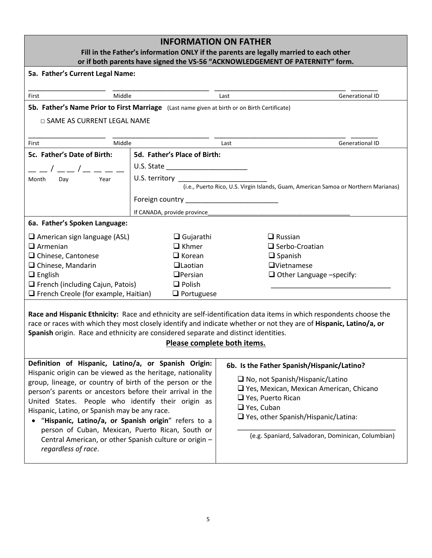| <b>INFORMATION ON FATHER</b><br>Fill in the Father's information ONLY if the parents are legally married to each other<br>or if both parents have signed the VS-56 "ACKNOWLEDGEMENT OF PATERNITY" form.                                                                                                                                                                                                                                                                                                                                        |                                                                                                                                                                                                                                |                                                                                                                                                                                                                                                                                            |  |  |
|------------------------------------------------------------------------------------------------------------------------------------------------------------------------------------------------------------------------------------------------------------------------------------------------------------------------------------------------------------------------------------------------------------------------------------------------------------------------------------------------------------------------------------------------|--------------------------------------------------------------------------------------------------------------------------------------------------------------------------------------------------------------------------------|--------------------------------------------------------------------------------------------------------------------------------------------------------------------------------------------------------------------------------------------------------------------------------------------|--|--|
| 5a. Father's Current Legal Name:                                                                                                                                                                                                                                                                                                                                                                                                                                                                                                               |                                                                                                                                                                                                                                |                                                                                                                                                                                                                                                                                            |  |  |
| Middle<br>First                                                                                                                                                                                                                                                                                                                                                                                                                                                                                                                                |                                                                                                                                                                                                                                | <b>Generational ID</b><br>Last                                                                                                                                                                                                                                                             |  |  |
| 5b. Father's Name Prior to First Marriage (Last name given at birth or on Birth Certificate)                                                                                                                                                                                                                                                                                                                                                                                                                                                   |                                                                                                                                                                                                                                |                                                                                                                                                                                                                                                                                            |  |  |
| $\Box$ SAME AS CURRENT LEGAL NAME                                                                                                                                                                                                                                                                                                                                                                                                                                                                                                              |                                                                                                                                                                                                                                |                                                                                                                                                                                                                                                                                            |  |  |
|                                                                                                                                                                                                                                                                                                                                                                                                                                                                                                                                                |                                                                                                                                                                                                                                |                                                                                                                                                                                                                                                                                            |  |  |
| Middle<br>First                                                                                                                                                                                                                                                                                                                                                                                                                                                                                                                                |                                                                                                                                                                                                                                | <b>Generational ID</b><br>Last                                                                                                                                                                                                                                                             |  |  |
| 5c. Father's Date of Birth:                                                                                                                                                                                                                                                                                                                                                                                                                                                                                                                    | 5d. Father's Place of Birth:                                                                                                                                                                                                   |                                                                                                                                                                                                                                                                                            |  |  |
|                                                                                                                                                                                                                                                                                                                                                                                                                                                                                                                                                |                                                                                                                                                                                                                                |                                                                                                                                                                                                                                                                                            |  |  |
| Month<br>Day<br>Year                                                                                                                                                                                                                                                                                                                                                                                                                                                                                                                           | U.S. territory and the state of the state of the state of the state of the state of the state of the state of the state of the state of the state of the state of the state of the state of the state of the state of the stat | (i.e., Puerto Rico, U.S. Virgin Islands, Guam, American Samoa or Northern Marianas)                                                                                                                                                                                                        |  |  |
|                                                                                                                                                                                                                                                                                                                                                                                                                                                                                                                                                |                                                                                                                                                                                                                                |                                                                                                                                                                                                                                                                                            |  |  |
|                                                                                                                                                                                                                                                                                                                                                                                                                                                                                                                                                |                                                                                                                                                                                                                                |                                                                                                                                                                                                                                                                                            |  |  |
|                                                                                                                                                                                                                                                                                                                                                                                                                                                                                                                                                | If CANADA, provide province                                                                                                                                                                                                    |                                                                                                                                                                                                                                                                                            |  |  |
| 6a. Father's Spoken Language:                                                                                                                                                                                                                                                                                                                                                                                                                                                                                                                  |                                                                                                                                                                                                                                |                                                                                                                                                                                                                                                                                            |  |  |
| $\Box$ American sign language (ASL)                                                                                                                                                                                                                                                                                                                                                                                                                                                                                                            | $\Box$ Gujarathi                                                                                                                                                                                                               | $\Box$ Russian                                                                                                                                                                                                                                                                             |  |  |
| $\Box$ Armenian                                                                                                                                                                                                                                                                                                                                                                                                                                                                                                                                | $\Box$ Khmer                                                                                                                                                                                                                   | $\Box$ Serbo-Croatian                                                                                                                                                                                                                                                                      |  |  |
| $\Box$ Chinese, Cantonese                                                                                                                                                                                                                                                                                                                                                                                                                                                                                                                      | $\Box$ Korean                                                                                                                                                                                                                  | $\Box$ Spanish                                                                                                                                                                                                                                                                             |  |  |
| $\Box$ Chinese, Mandarin                                                                                                                                                                                                                                                                                                                                                                                                                                                                                                                       | $\Box$ Laotian                                                                                                                                                                                                                 | $\Box$ Vietnamese                                                                                                                                                                                                                                                                          |  |  |
| $\Box$ English                                                                                                                                                                                                                                                                                                                                                                                                                                                                                                                                 | $D$ Persian                                                                                                                                                                                                                    | $\Box$ Other Language -specify:                                                                                                                                                                                                                                                            |  |  |
| $\Box$ French (including Cajun, Patois)                                                                                                                                                                                                                                                                                                                                                                                                                                                                                                        | $\Box$ Polish                                                                                                                                                                                                                  |                                                                                                                                                                                                                                                                                            |  |  |
| $\Box$ French Creole (for example, Haitian)<br>$\Box$ Portuguese                                                                                                                                                                                                                                                                                                                                                                                                                                                                               |                                                                                                                                                                                                                                |                                                                                                                                                                                                                                                                                            |  |  |
| Race and Hispanic Ethnicity: Race and ethnicity are self-identification data items in which respondents choose the<br>race or races with which they most closely identify and indicate whether or not they are of Hispanic, Latino/a, or<br>Spanish origin. Race and ethnicity are considered separate and distinct identities.<br>Please complete both items.                                                                                                                                                                                 |                                                                                                                                                                                                                                |                                                                                                                                                                                                                                                                                            |  |  |
| Definition of Hispanic, Latino/a, or Spanish Origin:<br>Hispanic origin can be viewed as the heritage, nationality<br>group, lineage, or country of birth of the person or the<br>person's parents or ancestors before their arrival in the<br>United States. People who identify their origin as<br>Hispanic, Latino, or Spanish may be any race.<br>"Hispanic, Latino/a, or Spanish origin" refers to a<br>person of Cuban, Mexican, Puerto Rican, South or<br>Central American, or other Spanish culture or origin -<br>regardless of race. |                                                                                                                                                                                                                                | 6b. Is the Father Spanish/Hispanic/Latino?<br>$\Box$ No, not Spanish/Hispanic/Latino<br>$\Box$ Yes, Mexican, Mexican American, Chicano<br>$\Box$ Yes, Puerto Rican<br>$\Box$ Yes, Cuban<br>$\Box$ Yes, other Spanish/Hispanic/Latina:<br>(e.g. Spaniard, Salvadoran, Dominican, Columbian) |  |  |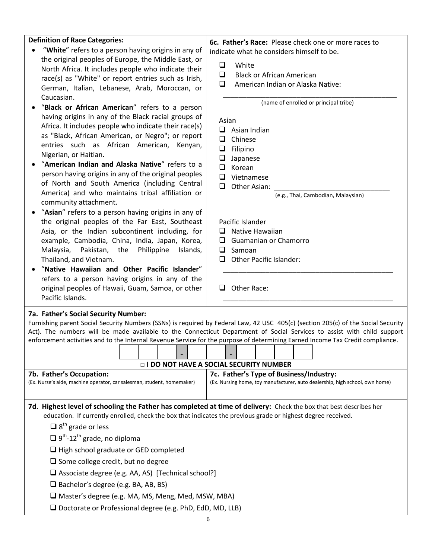| <b>Definition of Race Categories:</b>                                                                         | 6c. Father's Race: Please check one or more races to                                                                              |  |  |  |
|---------------------------------------------------------------------------------------------------------------|-----------------------------------------------------------------------------------------------------------------------------------|--|--|--|
| "White" refers to a person having origins in any of                                                           | indicate what he considers himself to be.                                                                                         |  |  |  |
| the original peoples of Europe, the Middle East, or                                                           |                                                                                                                                   |  |  |  |
| North Africa. It includes people who indicate their                                                           | White<br>❏                                                                                                                        |  |  |  |
| race(s) as "White" or report entries such as Irish,                                                           | $\Box$<br><b>Black or African American</b>                                                                                        |  |  |  |
| German, Italian, Lebanese, Arab, Moroccan, or                                                                 | $\Box$<br>American Indian or Alaska Native:                                                                                       |  |  |  |
| Caucasian.                                                                                                    | (name of enrolled or principal tribe)                                                                                             |  |  |  |
| "Black or African American" refers to a person                                                                |                                                                                                                                   |  |  |  |
| having origins in any of the Black racial groups of                                                           | Asian                                                                                                                             |  |  |  |
| Africa. It includes people who indicate their race(s)                                                         | $\Box$ Asian Indian                                                                                                               |  |  |  |
| as "Black, African American, or Negro"; or report                                                             | $\Box$<br>Chinese                                                                                                                 |  |  |  |
| entries such as African American, Kenyan,                                                                     | $\Box$<br>Filipino                                                                                                                |  |  |  |
| Nigerian, or Haitian.<br>"American Indian and Alaska Native" refers to a                                      | $\Box$<br>Japanese                                                                                                                |  |  |  |
| person having origins in any of the original peoples                                                          | $\Box$<br>Korean                                                                                                                  |  |  |  |
| of North and South America (including Central                                                                 | $\Box$<br>Vietnamese                                                                                                              |  |  |  |
| America) and who maintains tribal affiliation or                                                              | $\Box$<br>Other Asian:                                                                                                            |  |  |  |
| community attachment.                                                                                         | (e.g., Thai, Cambodian, Malaysian)                                                                                                |  |  |  |
| "Asian" refers to a person having origins in any of                                                           |                                                                                                                                   |  |  |  |
| the original peoples of the Far East, Southeast                                                               | Pacific Islander                                                                                                                  |  |  |  |
| Asia, or the Indian subcontinent including, for                                                               | Native Hawaiian<br>$\Box$                                                                                                         |  |  |  |
| example, Cambodia, China, India, Japan, Korea,                                                                | Guamanian or Chamorro<br>0                                                                                                        |  |  |  |
| Malaysia,<br>Pakistan, the<br>Philippine<br>Islands,                                                          | $\Box$ Samoan                                                                                                                     |  |  |  |
| Thailand, and Vietnam.                                                                                        | <b>Other Pacific Islander:</b><br>□                                                                                               |  |  |  |
| "Native Hawaiian and Other Pacific Islander"                                                                  |                                                                                                                                   |  |  |  |
| refers to a person having origins in any of the                                                               |                                                                                                                                   |  |  |  |
| original peoples of Hawaii, Guam, Samoa, or other<br>Pacific Islands.                                         | $\Box$ Other Race:                                                                                                                |  |  |  |
|                                                                                                               |                                                                                                                                   |  |  |  |
| 7a. Father's Social Security Number:                                                                          | Furnishing parent Social Security Numbers (SSNs) is required by Federal Law, 42 USC 405(c) (section 205(c) of the Social Security |  |  |  |
|                                                                                                               | Act). The numbers will be made available to the Connecticut Department of Social Services to assist with child support            |  |  |  |
|                                                                                                               | enforcement activities and to the Internal Revenue Service for the purpose of determining Earned Income Tax Credit compliance.    |  |  |  |
|                                                                                                               |                                                                                                                                   |  |  |  |
|                                                                                                               | <b>DI DO NOT HAVE A SOCIAL SECURITY NUMBER</b>                                                                                    |  |  |  |
| 7b. Father's Occupation:                                                                                      | 7c. Father's Type of Business/Industry:                                                                                           |  |  |  |
| (Ex. Nurse's aide, machine operator, car salesman, student, homemaker)                                        | (Ex. Nursing home, toy manufacturer, auto dealership, high school, own home)                                                      |  |  |  |
|                                                                                                               |                                                                                                                                   |  |  |  |
|                                                                                                               | 7d. Highest level of schooling the Father has completed at time of delivery: Check the box that best describes her                |  |  |  |
| education. If currently enrolled, check the box that indicates the previous grade or highest degree received. |                                                                                                                                   |  |  |  |
| $\Box$ 8 <sup>th</sup> grade or less                                                                          |                                                                                                                                   |  |  |  |
| $\Box$ 9 <sup>th</sup> -12 <sup>th</sup> grade, no diploma                                                    |                                                                                                                                   |  |  |  |
| $\Box$ High school graduate or GED completed                                                                  |                                                                                                                                   |  |  |  |
| $\Box$ Some college credit, but no degree                                                                     |                                                                                                                                   |  |  |  |
| $\Box$ Associate degree (e.g. AA, AS) [Technical school?]                                                     |                                                                                                                                   |  |  |  |
| $\Box$ Bachelor's degree (e.g. BA, AB, BS)                                                                    |                                                                                                                                   |  |  |  |
| □ Master's degree (e.g. MA, MS, Meng, Med, MSW, MBA)                                                          |                                                                                                                                   |  |  |  |
| $\Box$ Doctorate or Professional degree (e.g. PhD, EdD, MD, LLB)                                              |                                                                                                                                   |  |  |  |
|                                                                                                               | 6                                                                                                                                 |  |  |  |